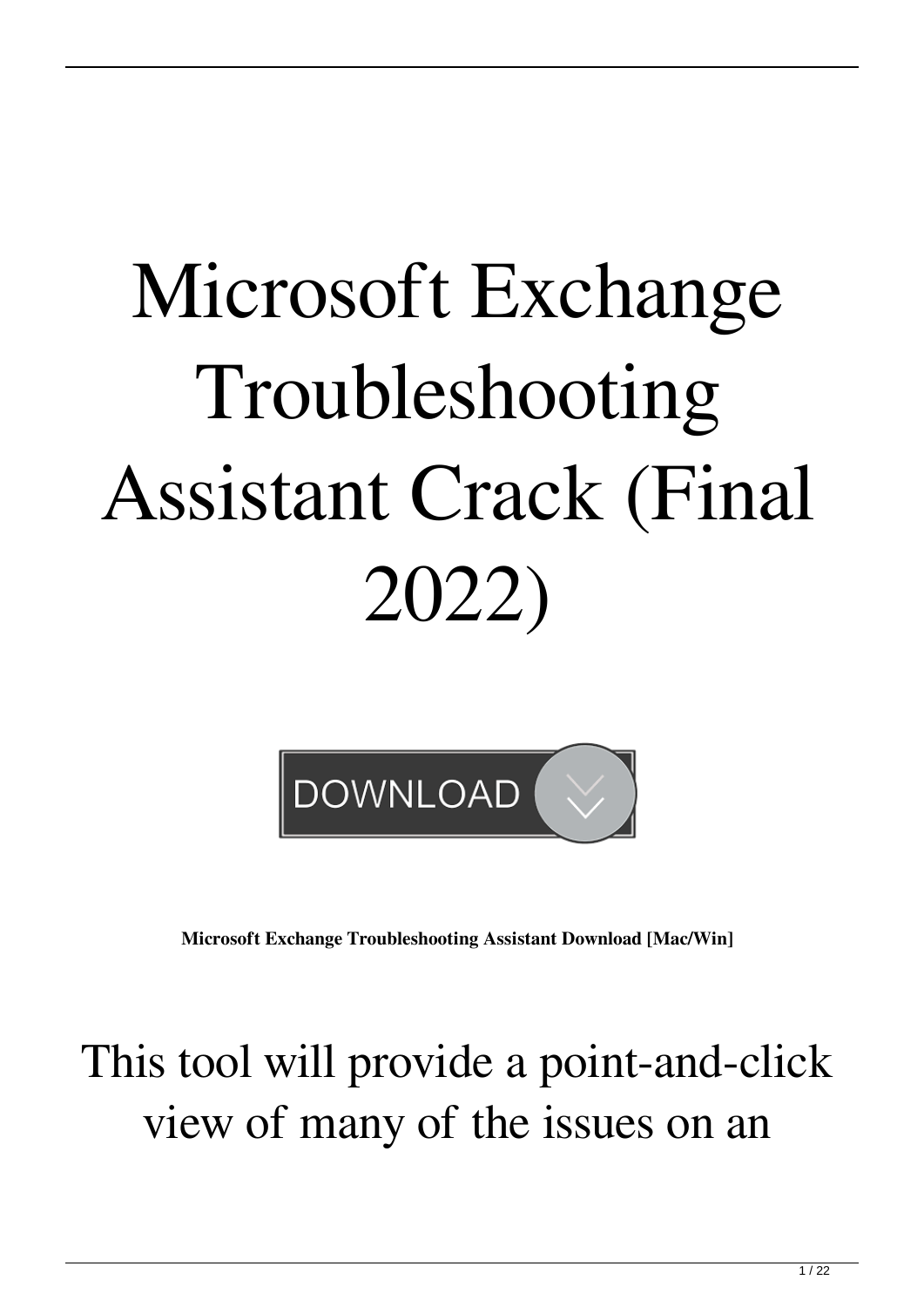## Microsoft Exchange Troubleshooting Assistant Crack (Final 2022)



**Microsoft Exchange Troubleshooting Assistant Download [Mac/Win]**

### This tool will provide a point-and-click view of many of the issues on an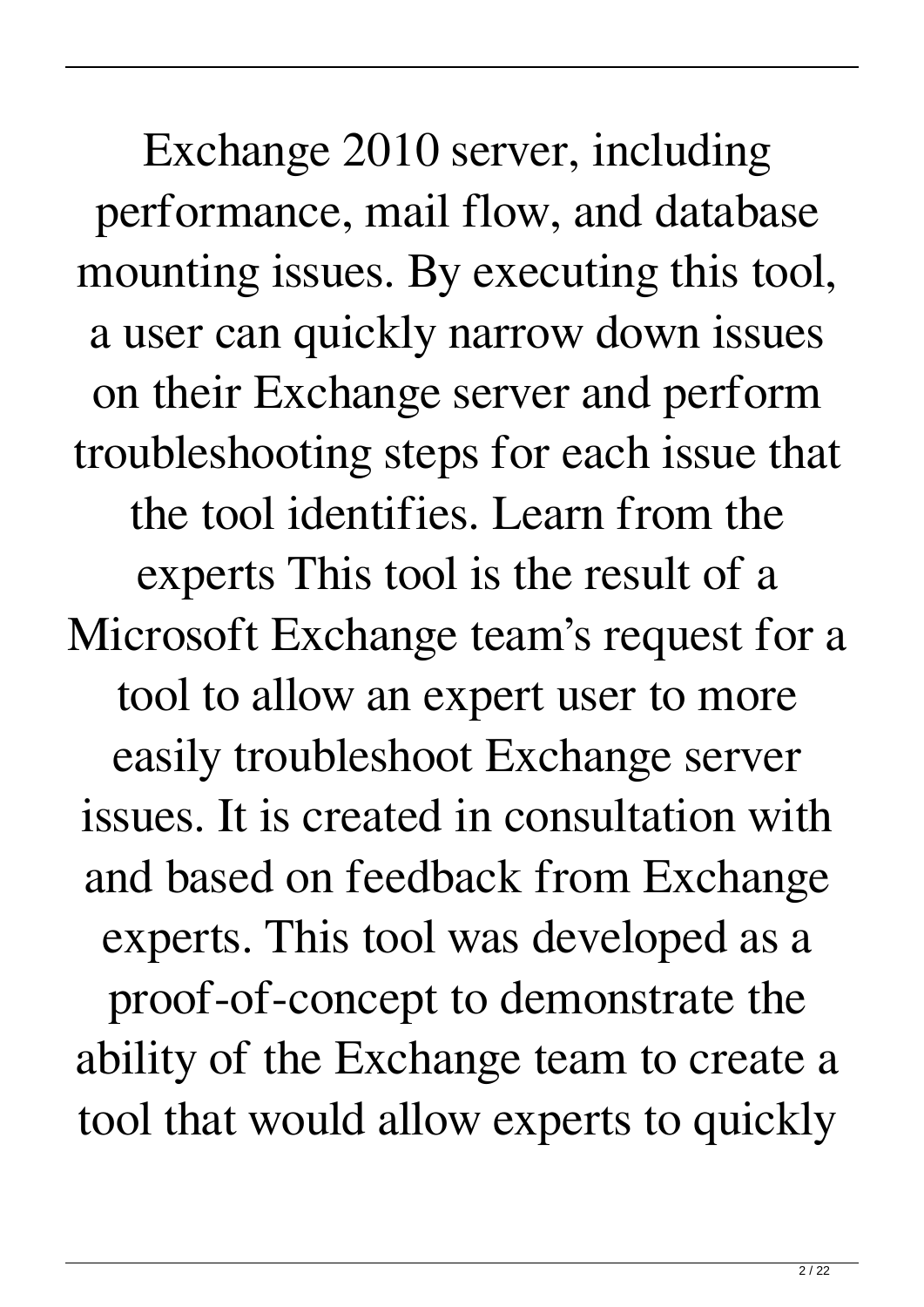Exchange 2010 server, including performance, mail flow, and database mounting issues. By executing this tool, a user can quickly narrow down issues on their Exchange server and perform troubleshooting steps for each issue that the tool identifies. Learn from the experts This tool is the result of a Microsoft Exchange team's request for a tool to allow an expert user to more easily troubleshoot Exchange server issues. It is created in consultation with and based on feedback from Exchange experts. This tool was developed as a proof-of-concept to demonstrate the ability of the Exchange team to create a tool that would allow experts to quickly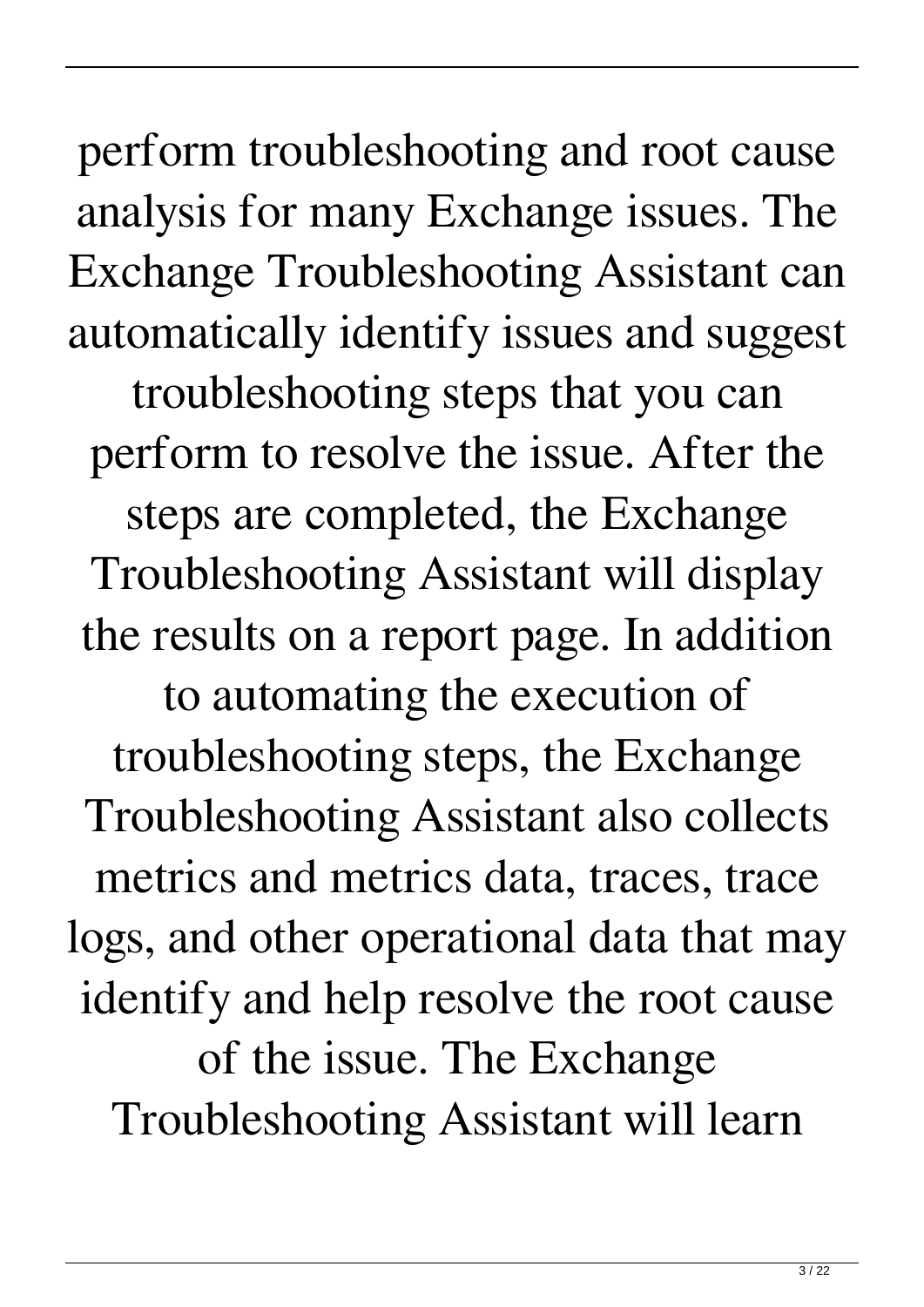perform troubleshooting and root cause analysis for many Exchange issues. The Exchange Troubleshooting Assistant can automatically identify issues and suggest troubleshooting steps that you can perform to resolve the issue. After the steps are completed, the Exchange Troubleshooting Assistant will display the results on a report page. In addition

to automating the execution of troubleshooting steps, the Exchange Troubleshooting Assistant also collects metrics and metrics data, traces, trace logs, and other operational data that may identify and help resolve the root cause of the issue. The Exchange Troubleshooting Assistant will learn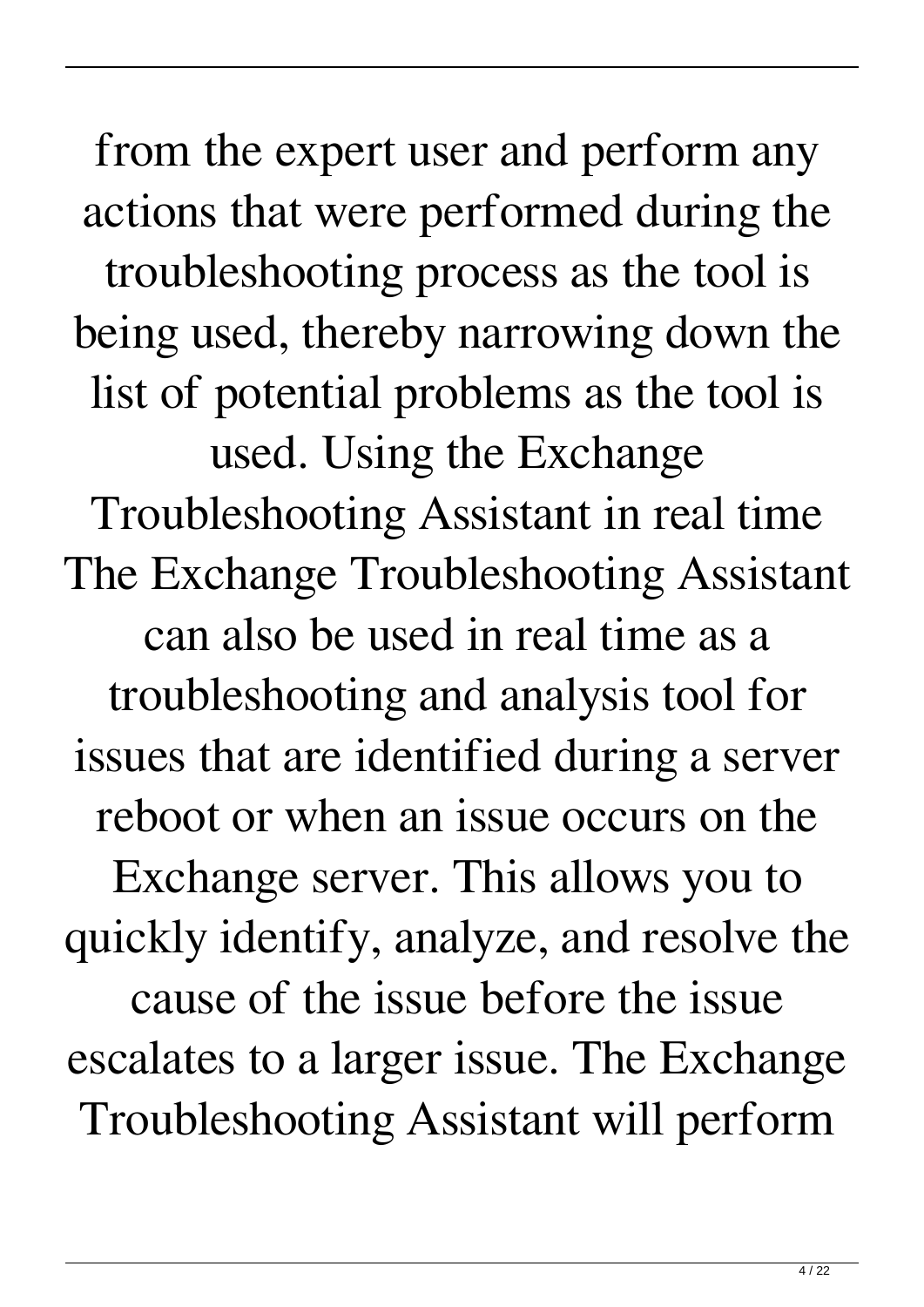from the expert user and perform any actions that were performed during the troubleshooting process as the tool is being used, thereby narrowing down the list of potential problems as the tool is used. Using the Exchange Troubleshooting Assistant in real time The Exchange Troubleshooting Assistant can also be used in real time as a troubleshooting and analysis tool for issues that are identified during a server reboot or when an issue occurs on the Exchange server. This allows you to quickly identify, analyze, and resolve the cause of the issue before the issue escalates to a larger issue. The Exchange Troubleshooting Assistant will perform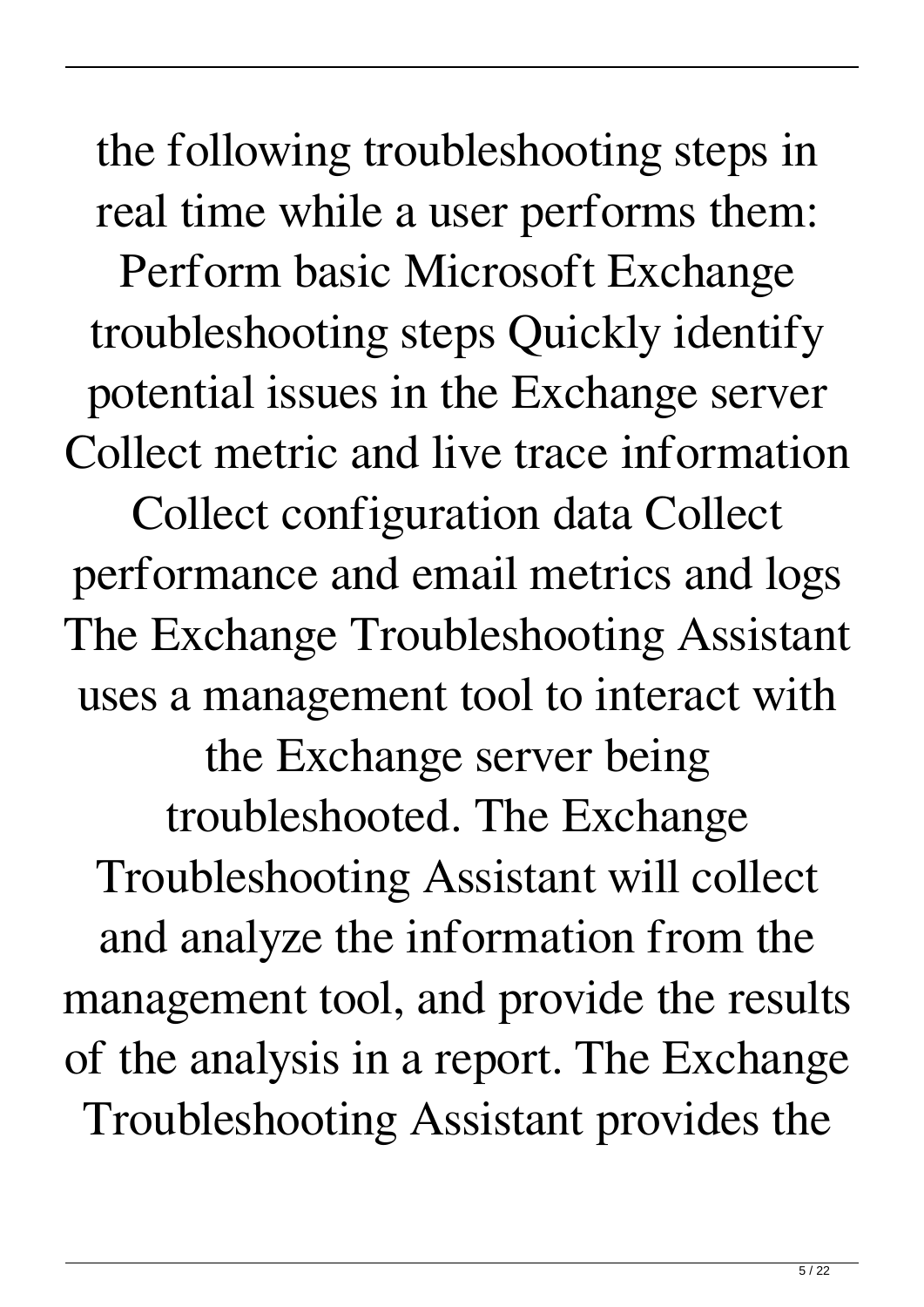the following troubleshooting steps in real time while a user performs them: Perform basic Microsoft Exchange troubleshooting steps Quickly identify potential issues in the Exchange server Collect metric and live trace information Collect configuration data Collect performance and email metrics and logs The Exchange Troubleshooting Assistant uses a management tool to interact with the Exchange server being troubleshooted. The Exchange Troubleshooting Assistant will collect and analyze the information from the management tool, and provide the results of the analysis in a report. The Exchange Troubleshooting Assistant provides the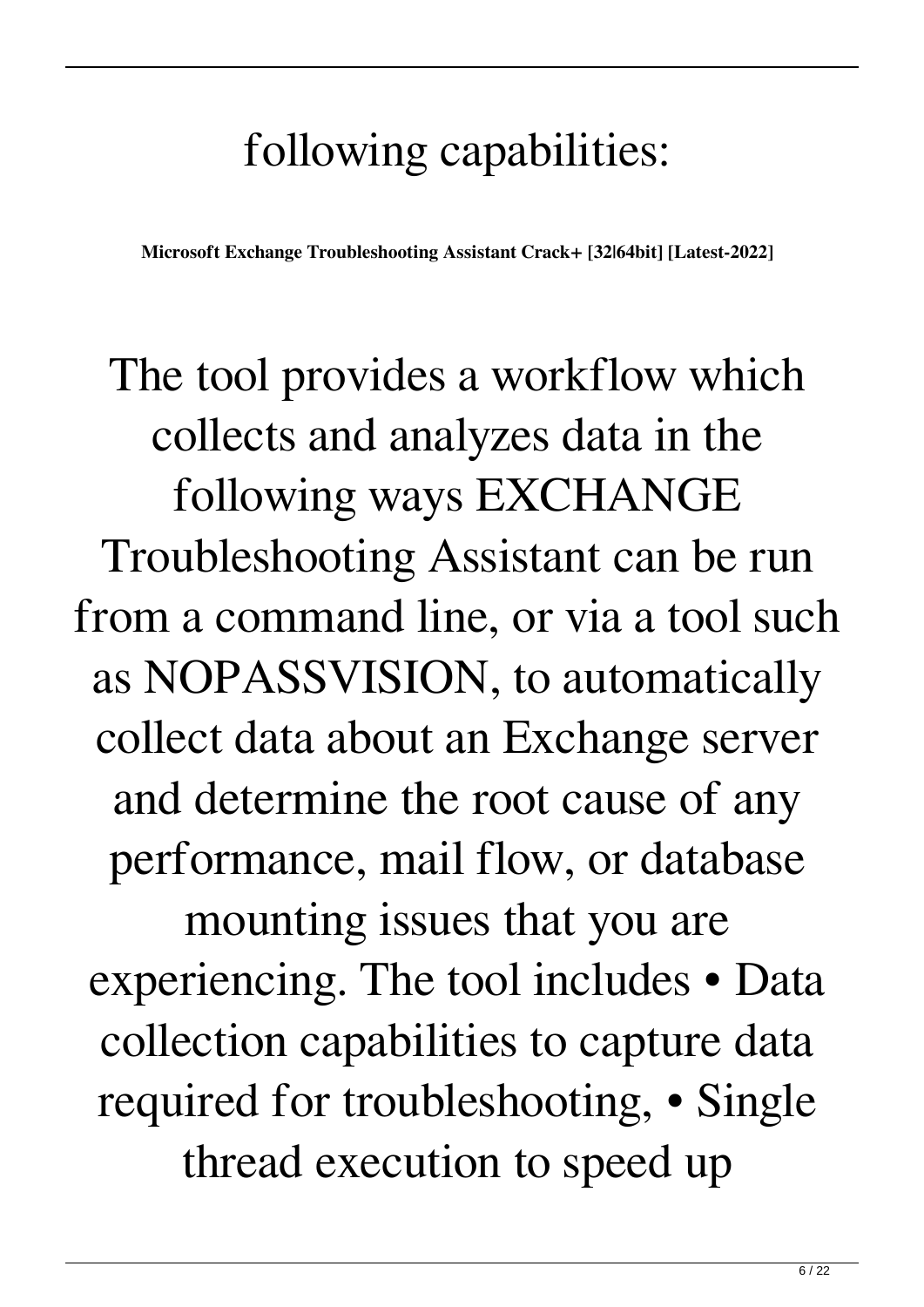### following capabilities:

**Microsoft Exchange Troubleshooting Assistant Crack+ [32|64bit] [Latest-2022]**

The tool provides a workflow which collects and analyzes data in the following ways EXCHANGE Troubleshooting Assistant can be run from a command line, or via a tool such as NOPASSVISION, to automatically collect data about an Exchange server and determine the root cause of any performance, mail flow, or database mounting issues that you are experiencing. The tool includes • Data collection capabilities to capture data required for troubleshooting, • Single thread execution to speed up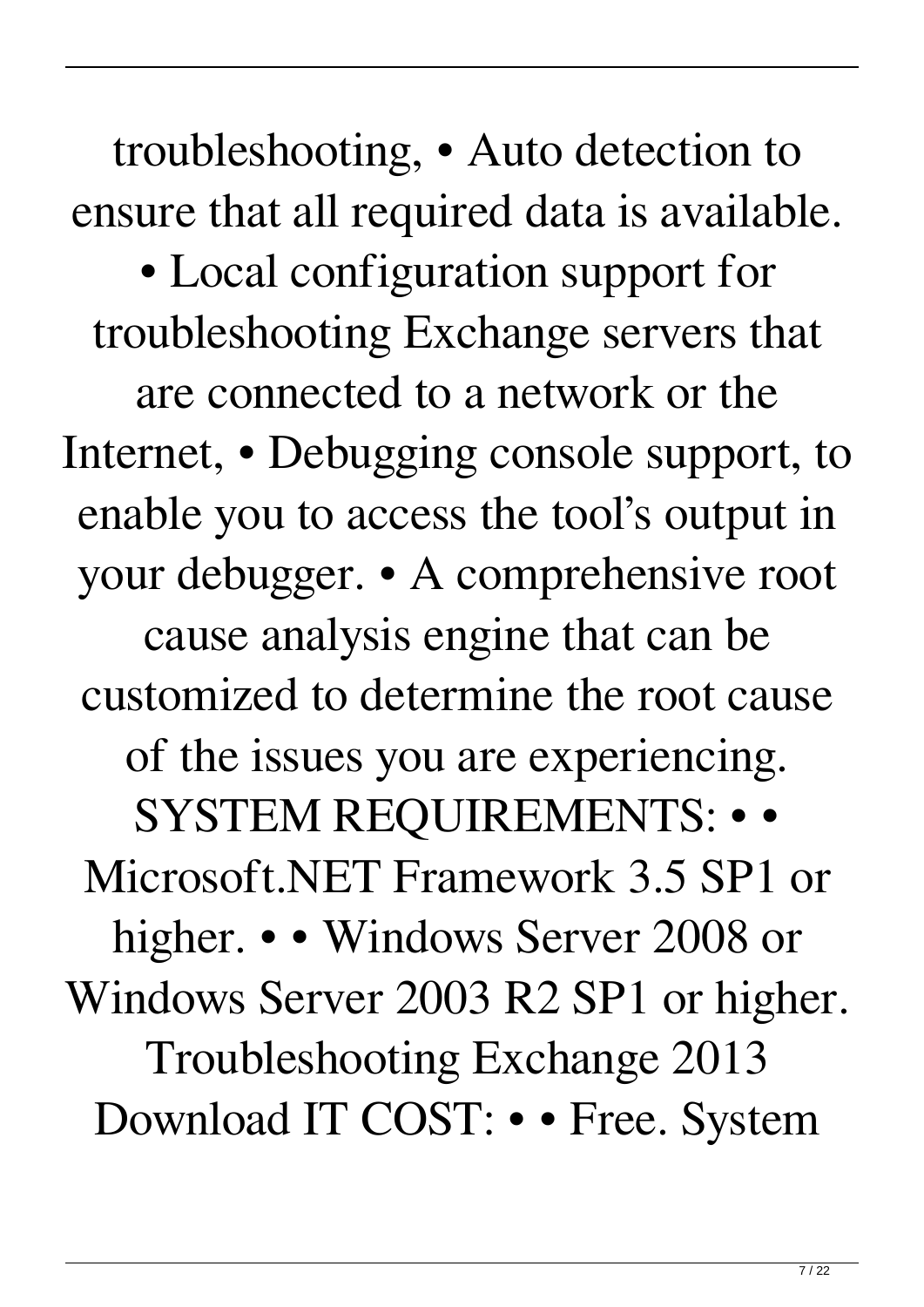troubleshooting, • Auto detection to ensure that all required data is available. • Local configuration support for troubleshooting Exchange servers that are connected to a network or the Internet, • Debugging console support, to enable you to access the tool's output in your debugger. • A comprehensive root cause analysis engine that can be customized to determine the root cause of the issues you are experiencing. SYSTEM REQUIREMENTS: • • Microsoft.NET Framework 3.5 SP1 or higher. • • Windows Server 2008 or Windows Server 2003 R2 SP1 or higher. Troubleshooting Exchange 2013 Download IT COST: • • Free. System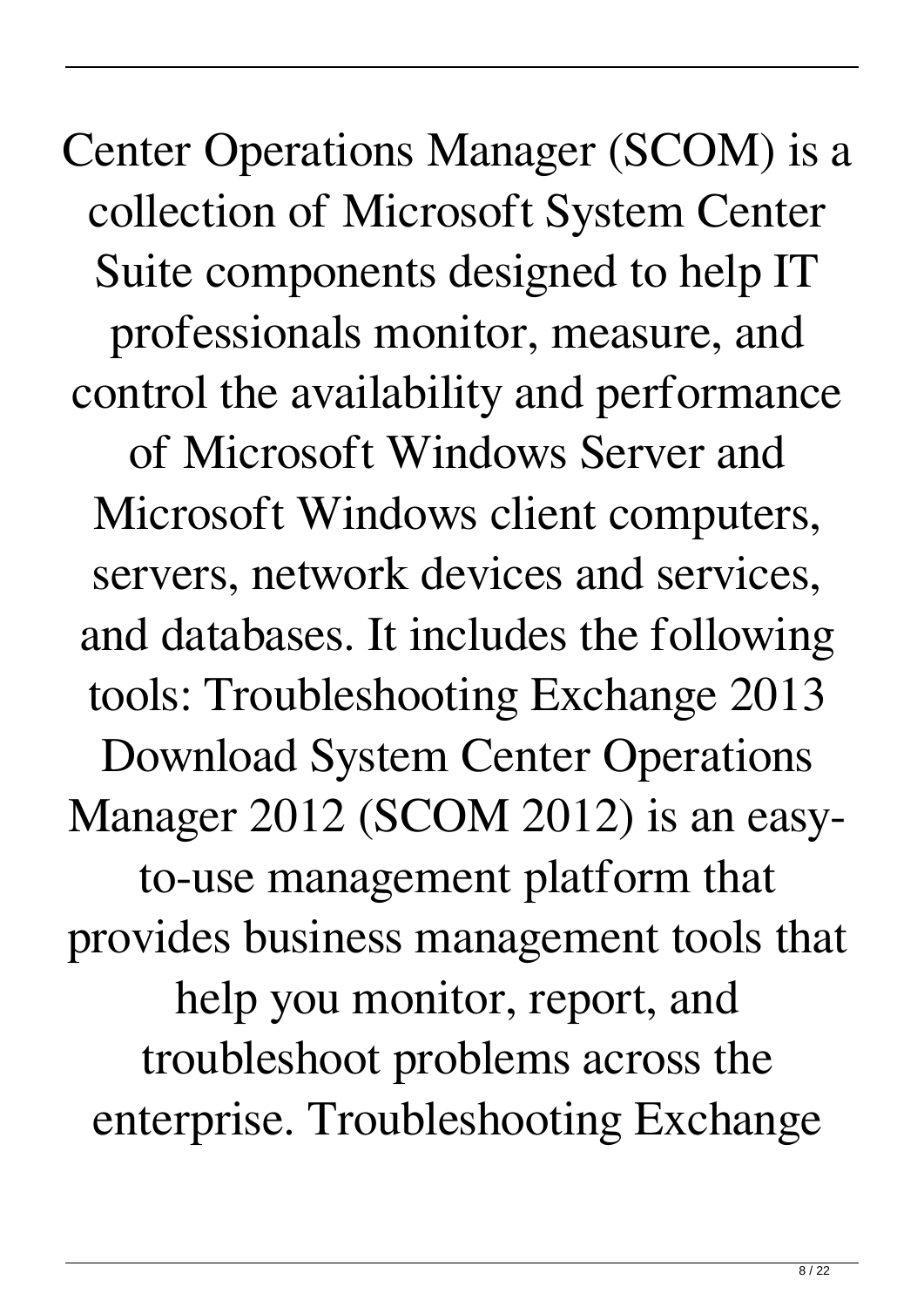Center Operations Manager (SCOM) is a collection of Microsoft System Center Suite components designed to help IT professionals monitor, measure, and control the availability and performance of Microsoft Windows Server and Microsoft Windows client computers, servers, network devices and services, and databases. It includes the following tools: Troubleshooting Exchange 2013 Download System Center Operations Manager 2012 (SCOM 2012) is an easyto-use management platform that provides business management tools that help you monitor, report, and troubleshoot problems across the enterprise. Troubleshooting Exchange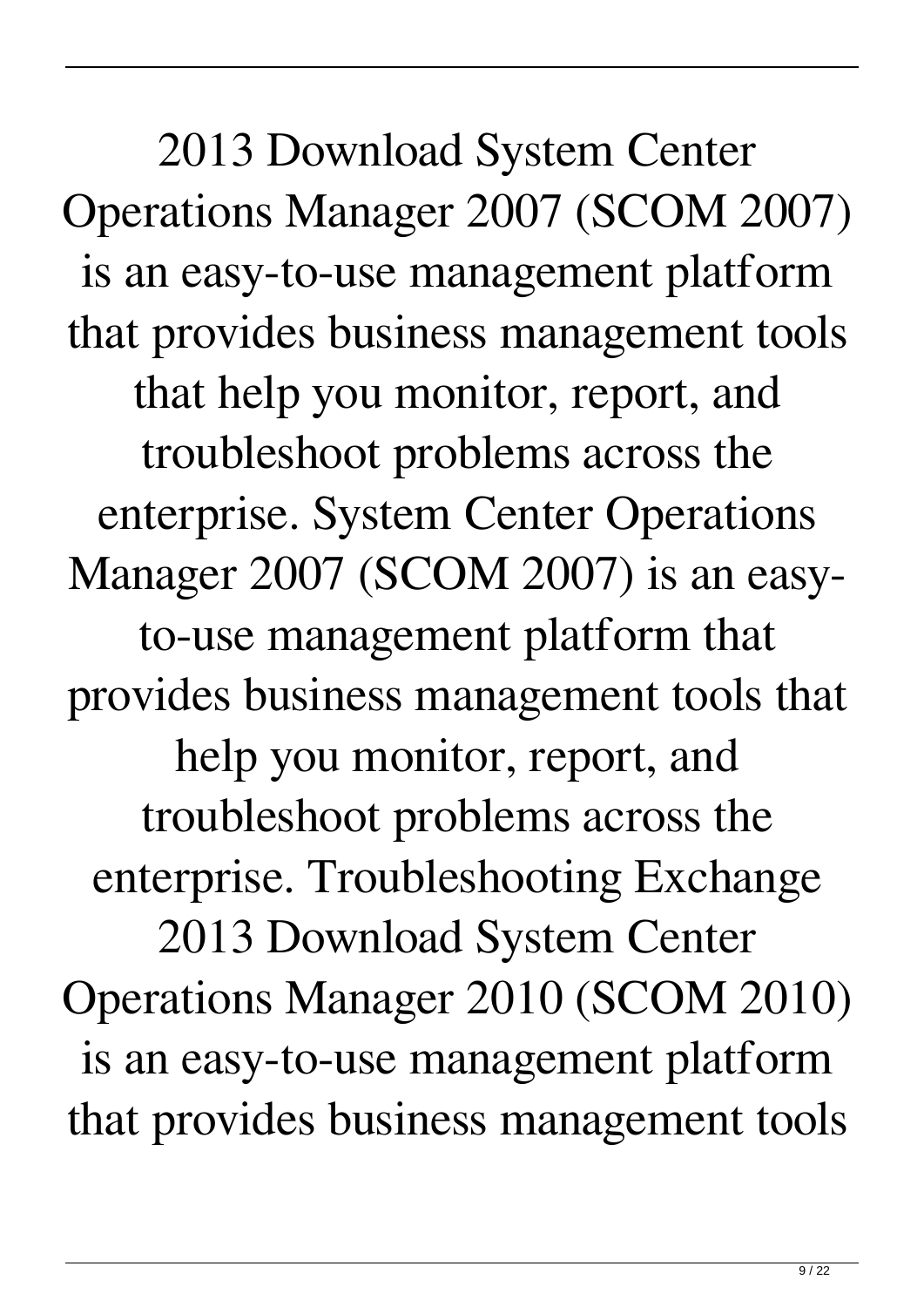2013 Download System Center Operations Manager 2007 (SCOM 2007) is an easy-to-use management platform that provides business management tools that help you monitor, report, and troubleshoot problems across the enterprise. System Center Operations Manager 2007 (SCOM 2007) is an easyto-use management platform that provides business management tools that help you monitor, report, and troubleshoot problems across the enterprise. Troubleshooting Exchange 2013 Download System Center Operations Manager 2010 (SCOM 2010) is an easy-to-use management platform that provides business management tools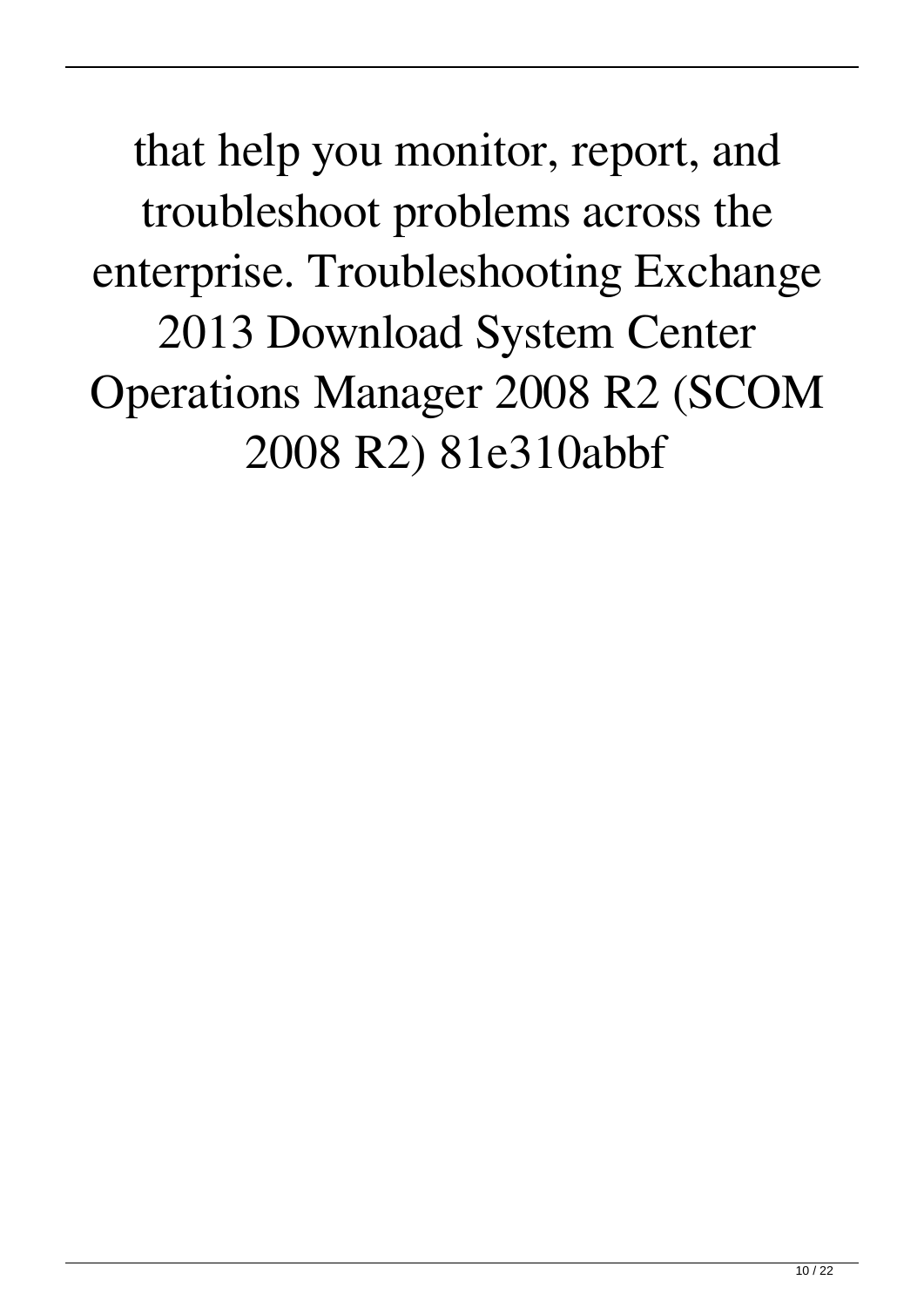that help you monitor, report, and troubleshoot problems across the enterprise. Troubleshooting Exchange 2013 Download System Center Operations Manager 2008 R2 (SCOM 2008 R2) 81e310abbf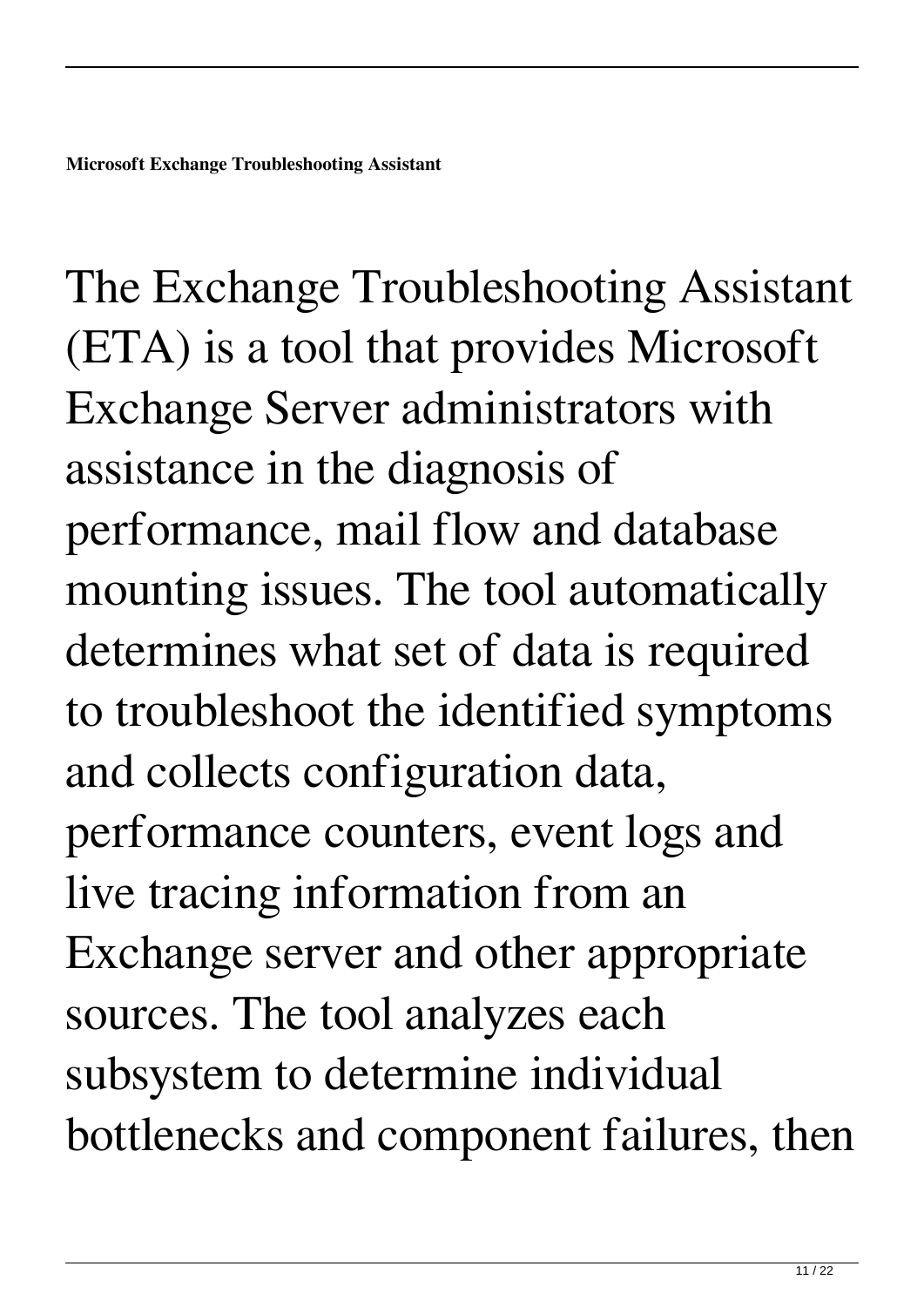The Exchange Troubleshooting Assistant (ETA) is a tool that provides Microsoft Exchange Server administrators with assistance in the diagnosis of performance, mail flow and database mounting issues. The tool automatically determines what set of data is required to troubleshoot the identified symptoms and collects configuration data, performance counters, event logs and live tracing information from an Exchange server and other appropriate sources. The tool analyzes each subsystem to determine individual bottlenecks and component failures, then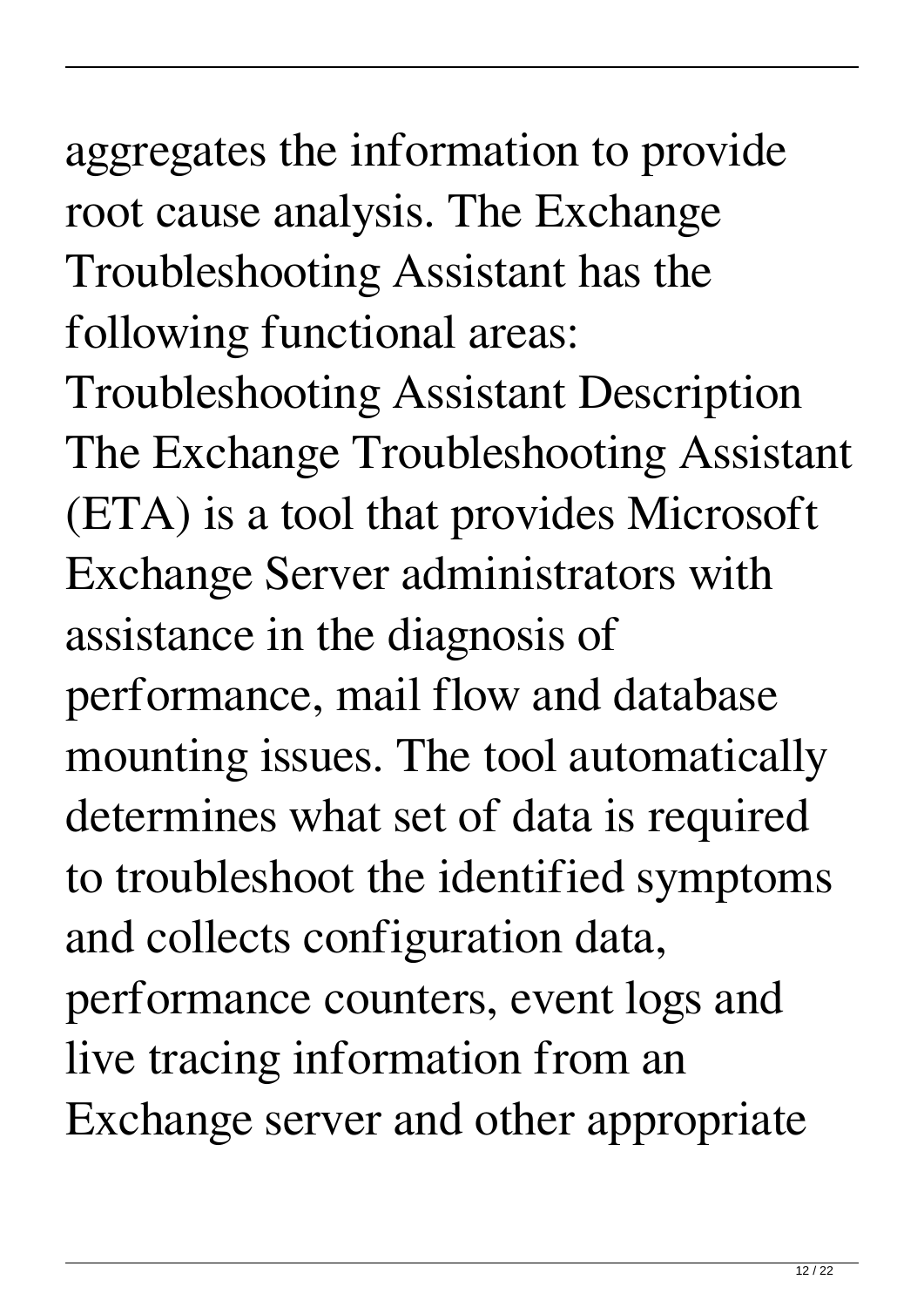### aggregates the information to provide root cause analysis. The Exchange Troubleshooting Assistant has the following functional areas:

Troubleshooting Assistant Description The Exchange Troubleshooting Assistant (ETA) is a tool that provides Microsoft Exchange Server administrators with assistance in the diagnosis of performance, mail flow and database mounting issues. The tool automatically determines what set of data is required to troubleshoot the identified symptoms and collects configuration data, performance counters, event logs and live tracing information from an Exchange server and other appropriate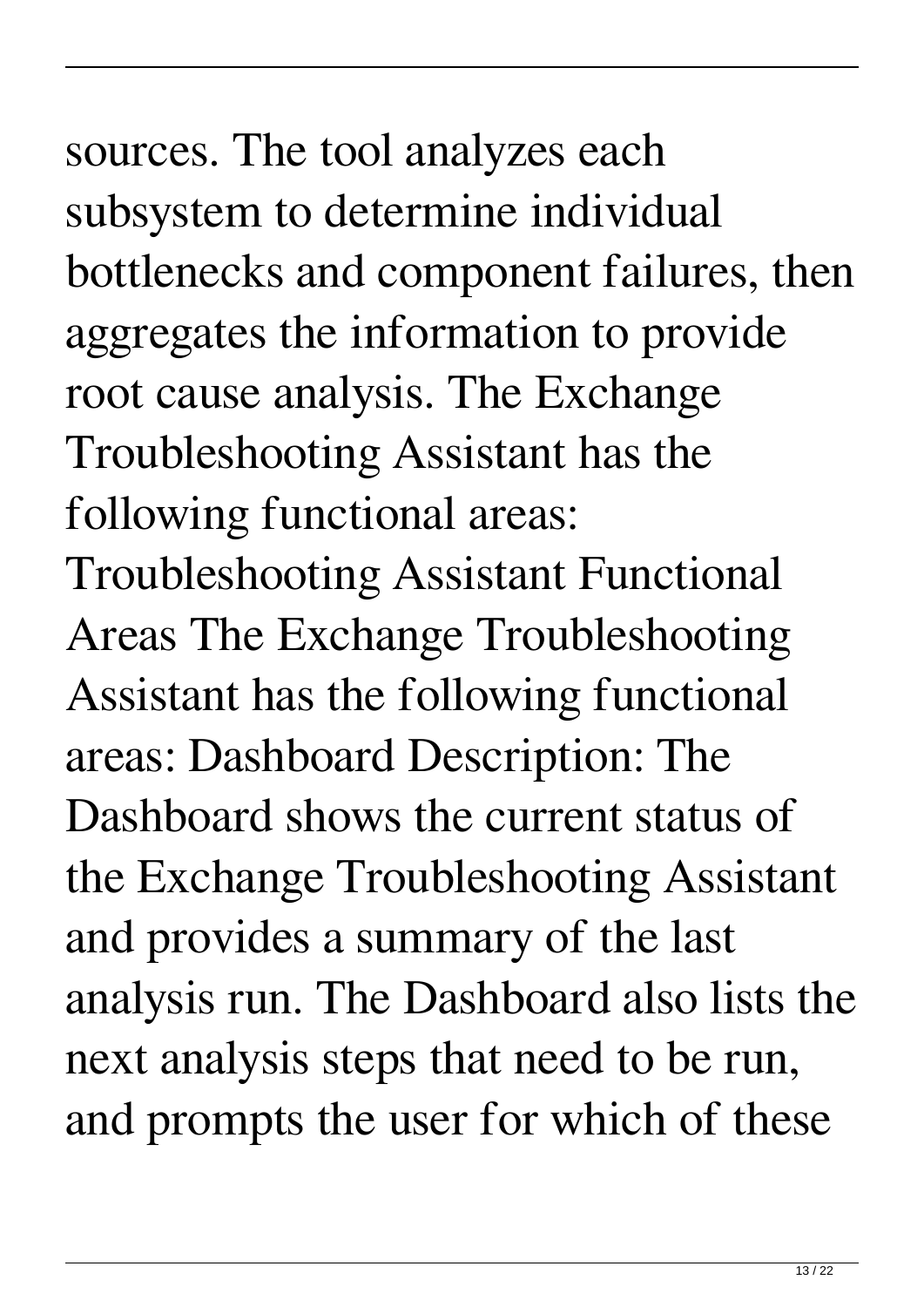## sources. The tool analyzes each subsystem to determine individual bottlenecks and component failures, then aggregates the information to provide root cause analysis. The Exchange Troubleshooting Assistant has the

following functional areas:

Troubleshooting Assistant Functional Areas The Exchange Troubleshooting Assistant has the following functional areas: Dashboard Description: The Dashboard shows the current status of the Exchange Troubleshooting Assistant and provides a summary of the last analysis run. The Dashboard also lists the next analysis steps that need to be run, and prompts the user for which of these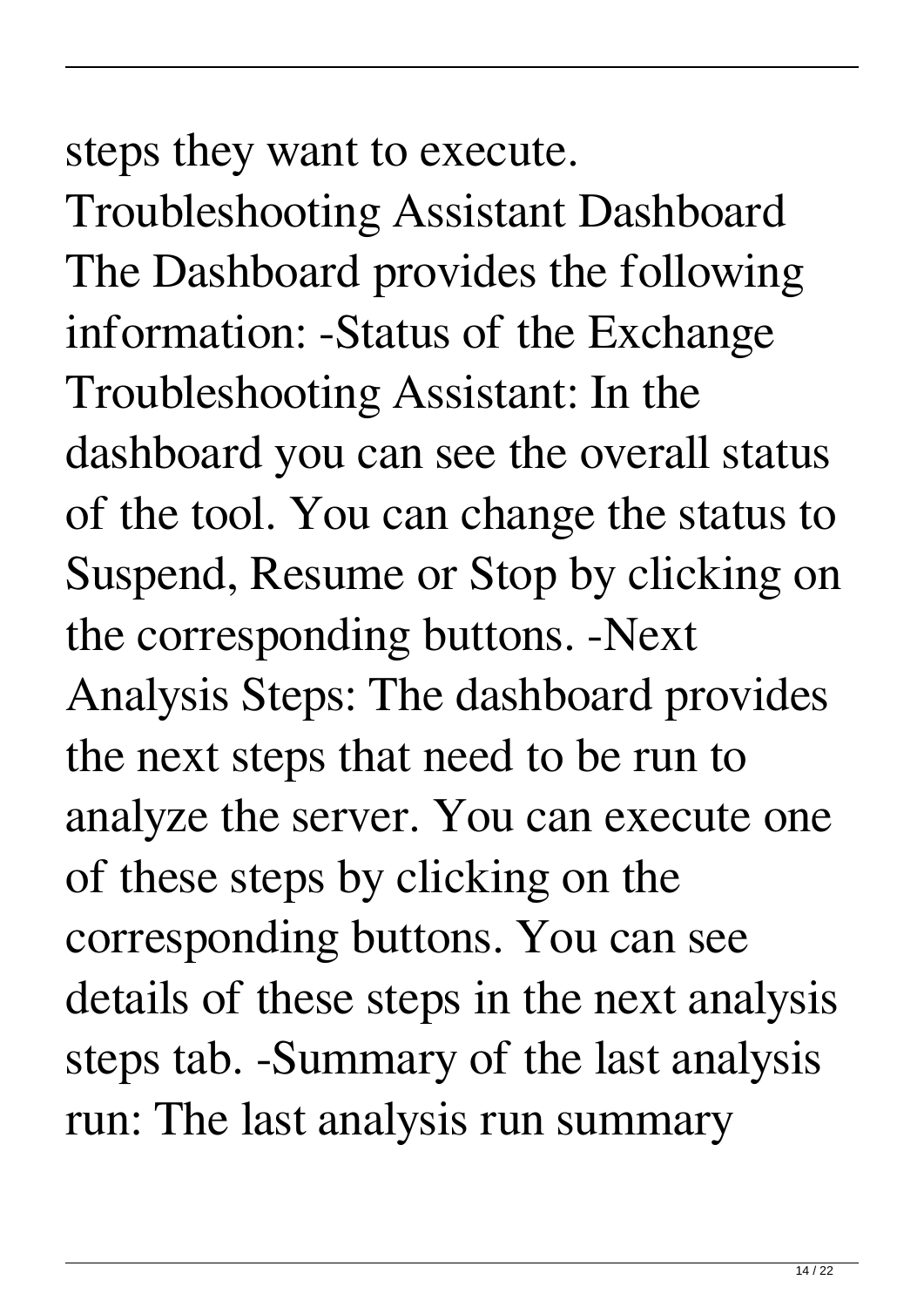#### steps they want to execute.

Troubleshooting Assistant Dashboard The Dashboard provides the following information: -Status of the Exchange Troubleshooting Assistant: In the dashboard you can see the overall status of the tool. You can change the status to Suspend, Resume or Stop by clicking on the corresponding buttons. -Next Analysis Steps: The dashboard provides the next steps that need to be run to analyze the server. You can execute one of these steps by clicking on the corresponding buttons. You can see details of these steps in the next analysis steps tab. -Summary of the last analysis run: The last analysis run summary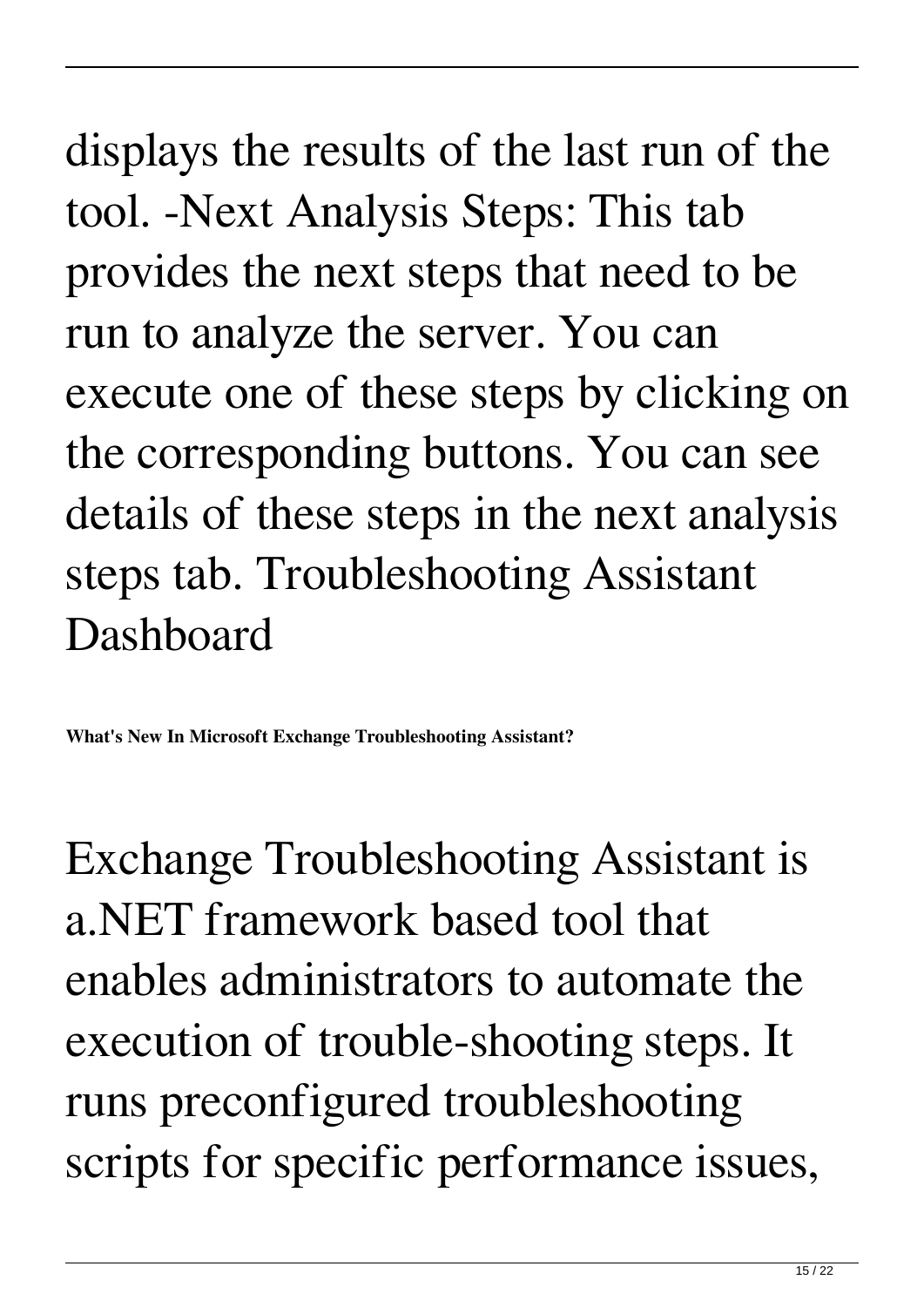displays the results of the last run of the tool. -Next Analysis Steps: This tab provides the next steps that need to be run to analyze the server. You can execute one of these steps by clicking on the corresponding buttons. You can see details of these steps in the next analysis steps tab. Troubleshooting Assistant Dashboard

**What's New In Microsoft Exchange Troubleshooting Assistant?**

Exchange Troubleshooting Assistant is a.NET framework based tool that enables administrators to automate the execution of trouble-shooting steps. It runs preconfigured troubleshooting scripts for specific performance issues,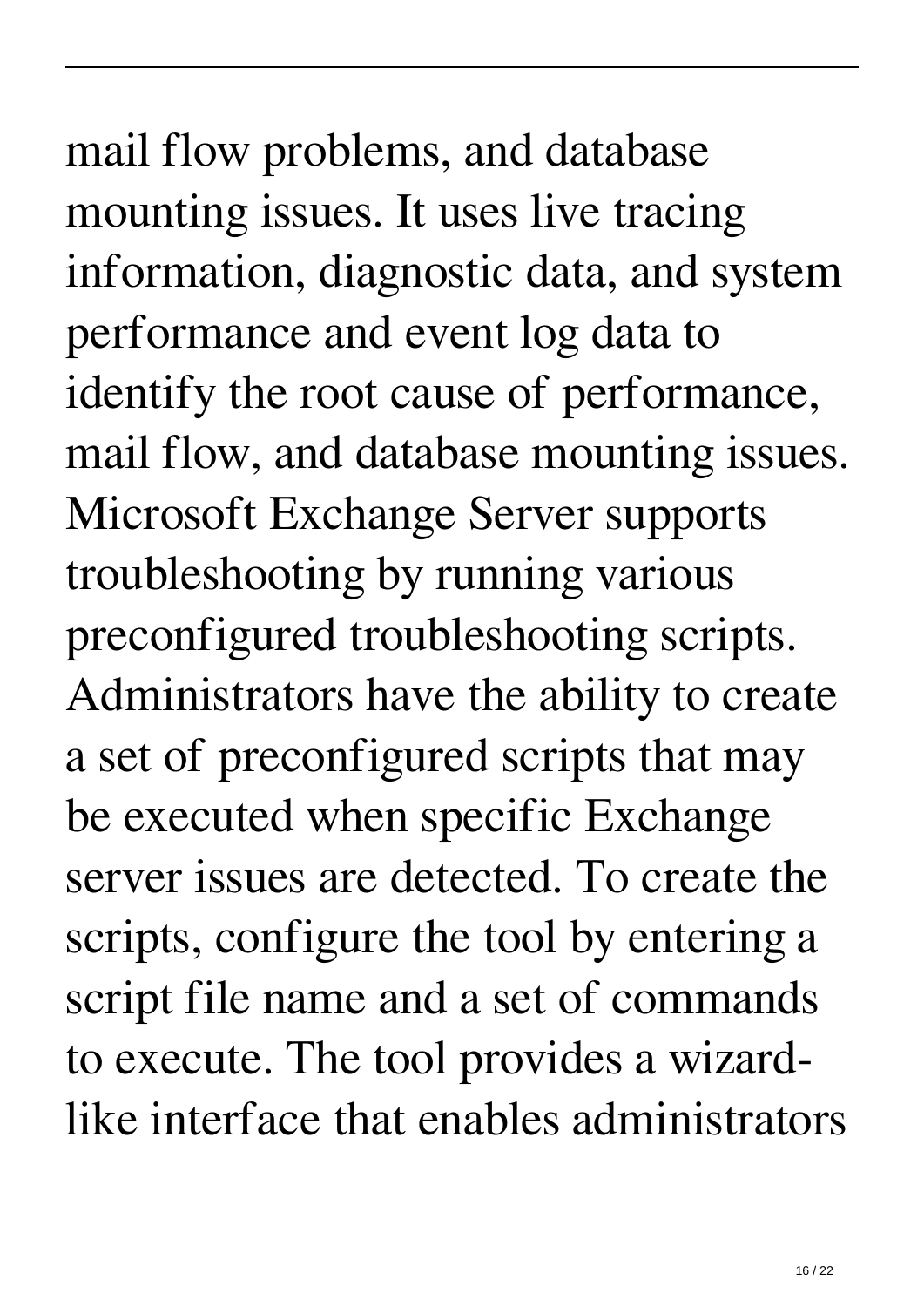# mail flow problems, and database mounting issues. It uses live tracing

information, diagnostic data, and system performance and event log data to identify the root cause of performance, mail flow, and database mounting issues. Microsoft Exchange Server supports troubleshooting by running various preconfigured troubleshooting scripts. Administrators have the ability to create a set of preconfigured scripts that may be executed when specific Exchange server issues are detected. To create the scripts, configure the tool by entering a script file name and a set of commands to execute. The tool provides a wizardlike interface that enables administrators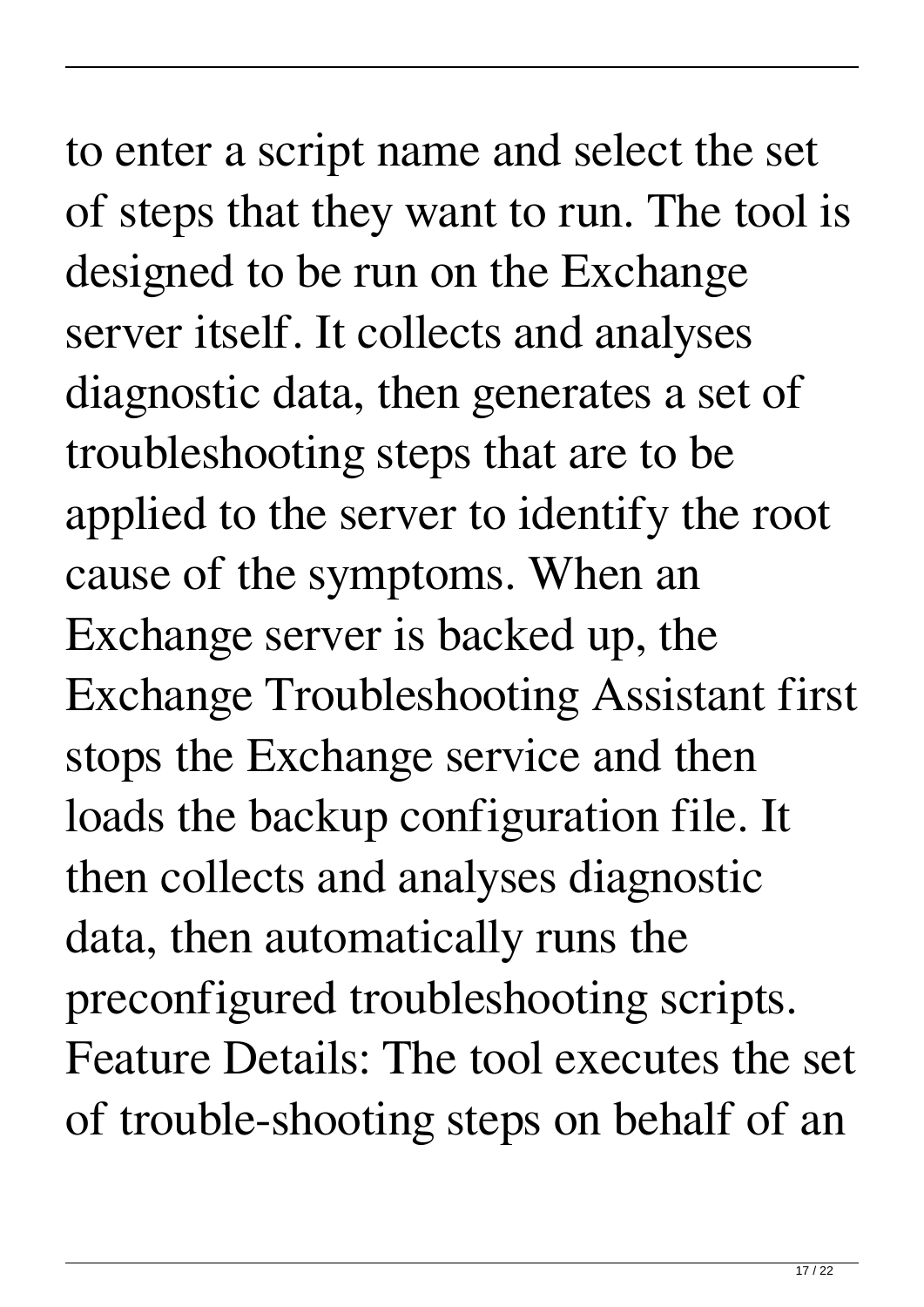## to enter a script name and select the set of steps that they want to run. The tool is designed to be run on the Exchange server itself. It collects and analyses diagnostic data, then generates a set of troubleshooting steps that are to be applied to the server to identify the root cause of the symptoms. When an Exchange server is backed up, the Exchange Troubleshooting Assistant first stops the Exchange service and then

loads the backup configuration file. It

then collects and analyses diagnostic

data, then automatically runs the

preconfigured troubleshooting scripts.

Feature Details: The tool executes the set of trouble-shooting steps on behalf of an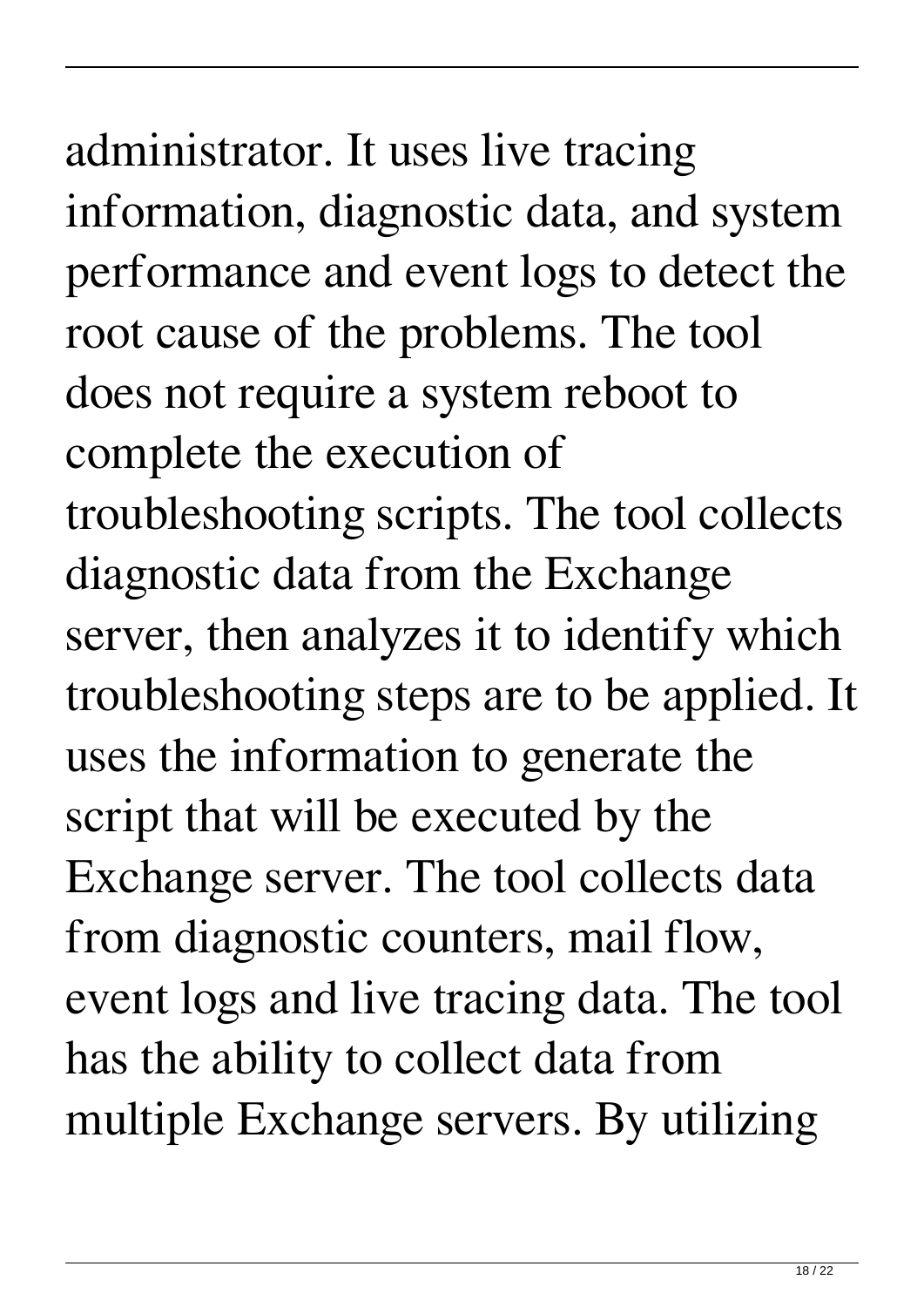## administrator. It uses live tracing information, diagnostic data, and system performance and event logs to detect the root cause of the problems. The tool does not require a system reboot to complete the execution of troubleshooting scripts. The tool collects diagnostic data from the Exchange server, then analyzes it to identify which troubleshooting steps are to be applied. It uses the information to generate the script that will be executed by the Exchange server. The tool collects data from diagnostic counters, mail flow,

event logs and live tracing data. The tool has the ability to collect data from multiple Exchange servers. By utilizing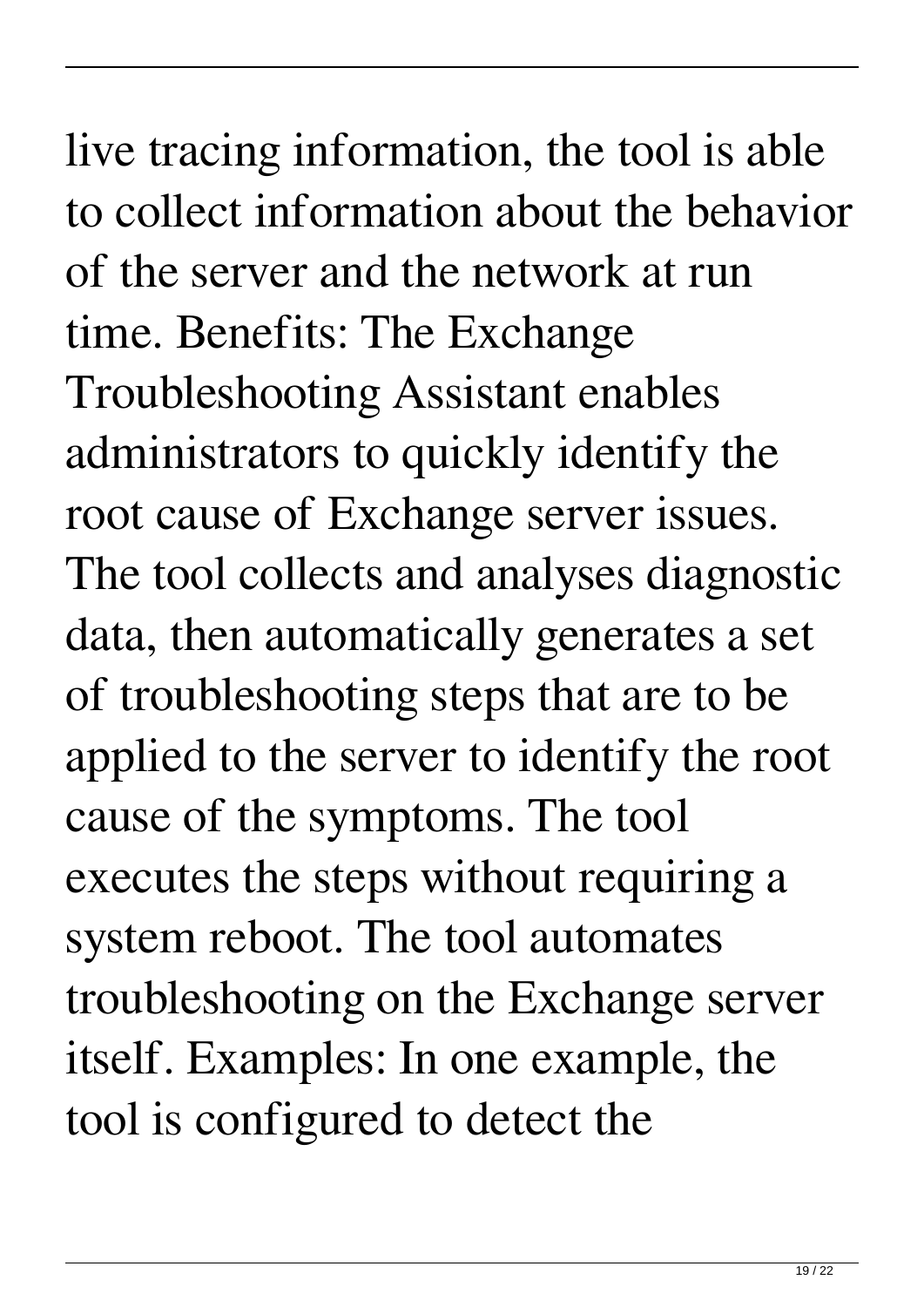### live tracing information, the tool is able to collect information about the behavior of the server and the network at run time. Benefits: The Exchange Troubleshooting Assistant enables administrators to quickly identify the root cause of Exchange server issues. The tool collects and analyses diagnostic data, then automatically generates a set of troubleshooting steps that are to be applied to the server to identify the root cause of the symptoms. The tool executes the steps without requiring a system reboot. The tool automates troubleshooting on the Exchange server itself. Examples: In one example, the tool is configured to detect the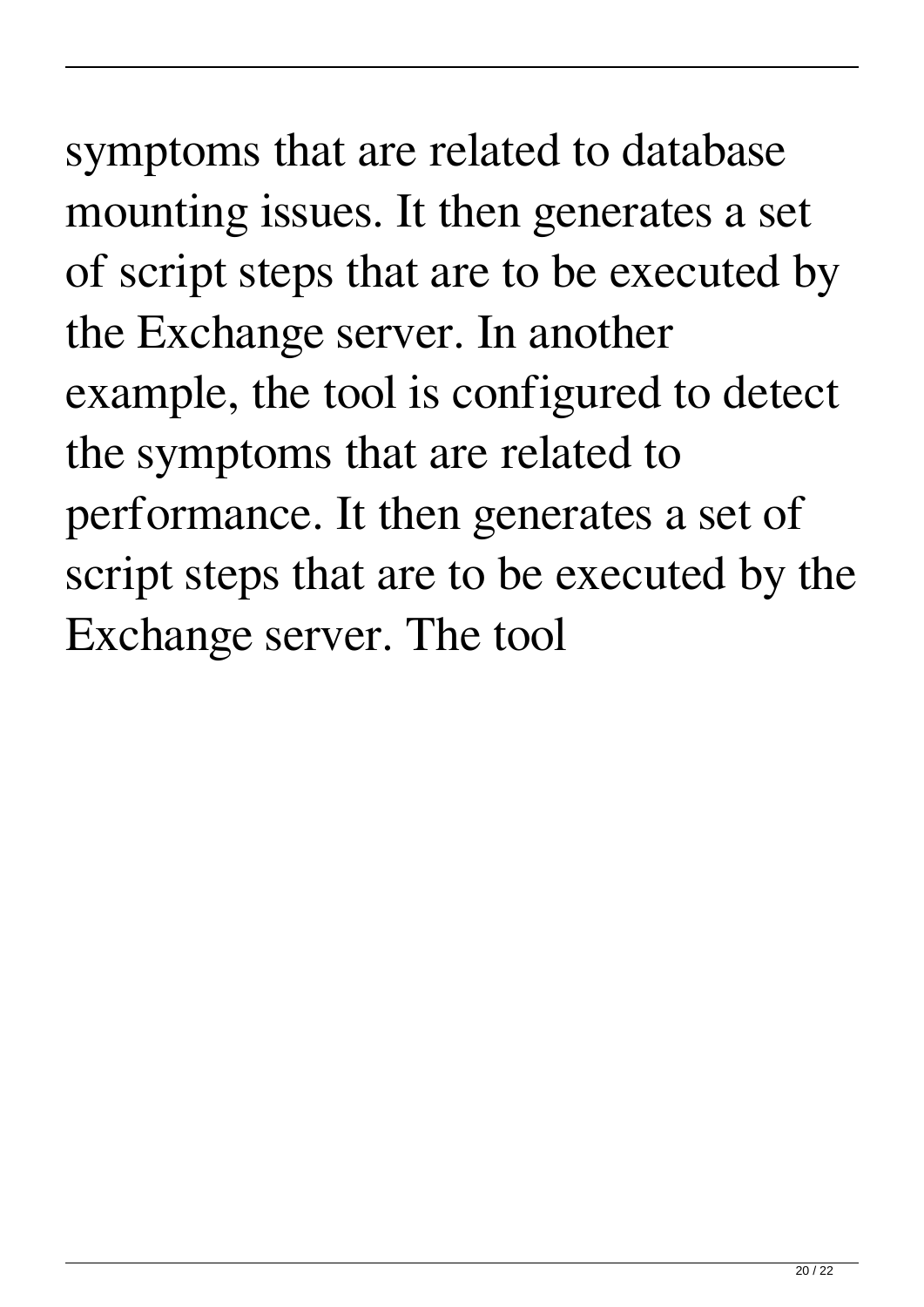### symptoms that are related to database mounting issues. It then generates a set of script steps that are to be executed by the Exchange server. In another example, the tool is configured to detect the symptoms that are related to performance. It then generates a set of script steps that are to be executed by the Exchange server. The tool